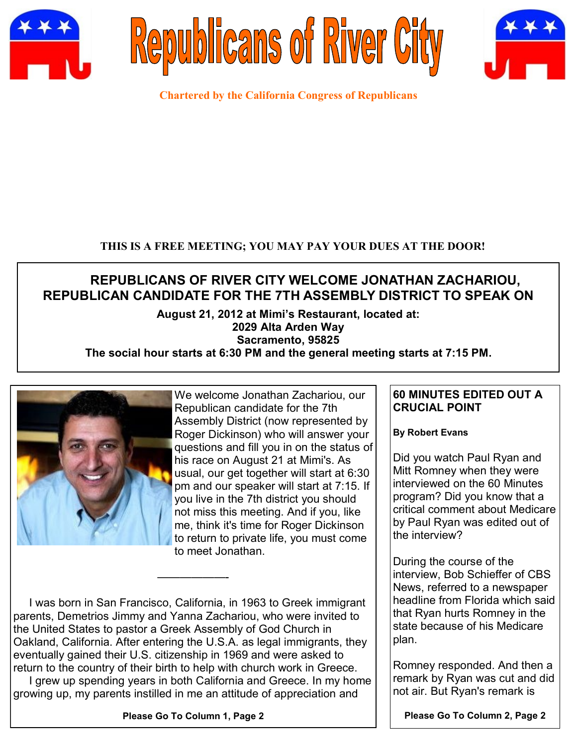





**Chartered by the California Congress of Republicans**

## **THIS IS A FREE MEETING; YOU MAY PAY YOUR DUES AT THE DOOR!**

# **REPUBLICANS OF RIVER CITY WELCOME JONATHAN ZACHARIOU, REPUBLICAN CANDIDATE FOR THE 7TH ASSEMBLY DISTRICT TO SPEAK ON**

# **August 21, 2012 at Mimi's Restaurant, located at: 2029 Alta Arden Way Sacramento, 95825**

# **The social hour starts at 6:30 PM and the general meeting starts at 7:15 PM.**



We welcome Jonathan Zachariou, our Republican candidate for the 7th Assembly District (now represented by Roger Dickinson) who will answer your questions and fill you in on the status of his race on August 21 at Mimi's. As usual, our get together will start at 6:30 pm and our speaker will start at 7:15. If you live in the 7th district you should not miss this meeting. And if you, like me, think it's time for Roger Dickinson to return to private life, you must come to meet Jonathan.

 I was born in San Francisco, California, in 1963 to Greek immigrant parents, Demetrios Jimmy and Yanna Zachariou, who were invited to the United States to pastor a Greek Assembly of God Church in Oakland, California. After entering the U.S.A. as legal immigrants, they eventually gained their U.S. citizenship in 1969 and were asked to return to the country of their birth to help with church work in Greece.

——————-

 I grew up spending years in both California and Greece. In my home growing up, my parents instilled in me an attitude of appreciation and

#### **Please Go To Column 1, Page 2**

#### **60 MINUTES EDITED OUT A CRUCIAL POINT**

**By Robert Evans**

Did you watch Paul Ryan and Mitt Romney when they were interviewed on the 60 Minutes program? Did you know that a critical comment about Medicare by Paul Ryan was edited out of the interview?

During the course of the interview, Bob Schieffer of CBS News, referred to a newspaper headline from Florida which said that Ryan hurts Romney in the state because of his Medicare plan.

Romney responded. And then a remark by Ryan was cut and did not air. But Ryan's remark is

**Please Go To Column 2, Page 2**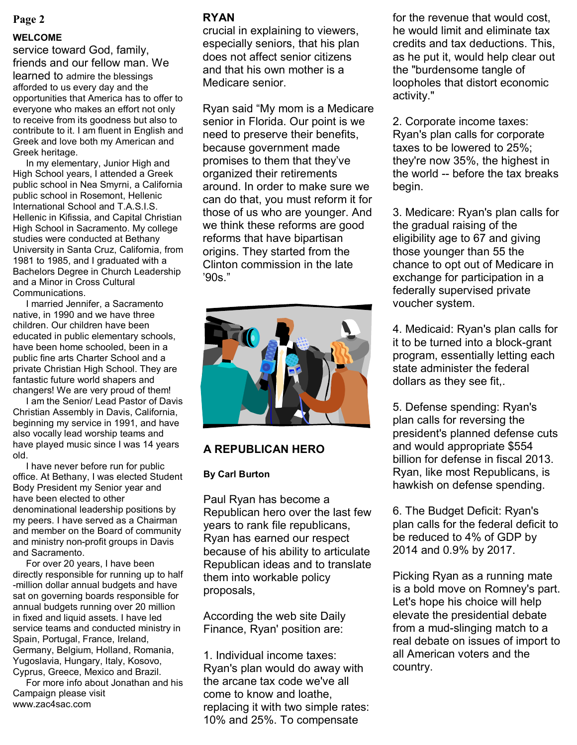#### **Page 2**

#### **WELCOME**

service toward God, family, friends and our fellow man. We learned to admire the blessings afforded to us every day and the opportunities that America has to offer to everyone who makes an effort not only to receive from its goodness but also to contribute to it. I am fluent in English and Greek and love both my American and Greek heritage.

 In my elementary, Junior High and High School years, I attended a Greek public school in Nea Smyrni, a California public school in Rosemont, Hellenic International School and T.A.S.I.S. Hellenic in Kifissia, and Capital Christian High School in Sacramento. My college studies were conducted at Bethany University in Santa Cruz, California, from 1981 to 1985, and I graduated with a Bachelors Degree in Church Leadership and a Minor in Cross Cultural Communications.

 I married Jennifer, a Sacramento native, in 1990 and we have three children. Our children have been educated in public elementary schools, have been home schooled, been in a public fine arts Charter School and a private Christian High School. They are fantastic future world shapers and changers! We are very proud of them!

 I am the Senior/ Lead Pastor of Davis Christian Assembly in Davis, California, beginning my service in 1991, and have also vocally lead worship teams and have played music since I was 14 years old.

 I have never before run for public office. At Bethany, I was elected Student Body President my Senior year and have been elected to other denominational leadership positions by my peers. I have served as a Chairman and member on the Board of community and ministry non-profit groups in Davis and Sacramento.

 For over 20 years, I have been directly responsible for running up to half -million dollar annual budgets and have sat on governing boards responsible for annual budgets running over 20 million in fixed and liquid assets. I have led service teams and conducted ministry in Spain, Portugal, France, Ireland, Germany, Belgium, Holland, Romania, Yugoslavia, Hungary, Italy, Kosovo, Cyprus, Greece, Mexico and Brazil.

 For more info about Jonathan and his Campaign please visit www.zac4sac.com

#### **RYAN**

crucial in explaining to viewers, especially seniors, that his plan does not affect senior citizens and that his own mother is a Medicare senior.

Ryan said "My mom is a Medicare senior in Florida. Our point is we need to preserve their benefits, because government made promises to them that they've organized their retirements around. In order to make sure we can do that, you must reform it for those of us who are younger. And we think these reforms are good reforms that have bipartisan origins. They started from the Clinton commission in the late '90s."



#### **A REPUBLICAN HERO**

#### **By Carl Burton**

Paul Ryan has become a Republican hero over the last few years to rank file republicans, Ryan has earned our respect because of his ability to articulate Republican ideas and to translate them into workable policy proposals,

According the web site Daily Finance, Ryan' position are:

1. Individual income taxes: Ryan's plan would do away with the arcane tax code we've all come to know and loathe, replacing it with two simple rates: 10% and 25%. To compensate

for the revenue that would cost, he would limit and eliminate tax credits and tax deductions. This, as he put it, would help clear out the "burdensome tangle of loopholes that distort economic activity."

2. Corporate income taxes: Ryan's plan calls for corporate taxes to be lowered to 25%; they're now 35%, the highest in the world -- before the tax breaks begin.

3. Medicare: Ryan's plan calls for the gradual raising of the eligibility age to 67 and giving those younger than 55 the chance to opt out of Medicare in exchange for participation in a federally supervised private voucher system.

4. Medicaid: Ryan's plan calls for it to be turned into a block-grant program, essentially letting each state administer the federal dollars as they see fit,.

5. Defense spending: Ryan's plan calls for reversing the president's planned defense cuts and would appropriate \$554 billion for defense in fiscal 2013. Ryan, like most Republicans, is hawkish on defense spending.

6. The Budget Deficit: Ryan's plan calls for the federal deficit to be reduced to 4% of GDP by 2014 and 0.9% by 2017.

Picking Ryan as a running mate is a bold move on Romney's part. Let's hope his choice will help elevate the presidential debate from a mud-slinging match to a real debate on issues of import to all American voters and the country.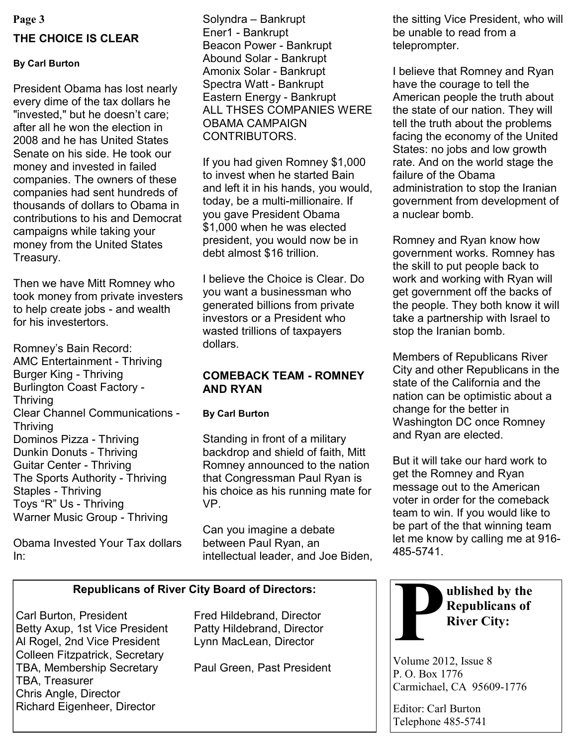# **THE CHOICE IS CLEAR**

#### **By Carl Burton**

President Obama has lost nearly every dime of the tax dollars he "invested," but he doesn't care; after all he won the election in 2008 and he has United States Senate on his side. He took our money and invested in failed companies. The owners of these companies had sent hundreds of thousands of dollars to Obama in contributions to his and Democrat campaigns while taking your money from the United States Treasury.

Then we have Mitt Romney who took money from private investers to help create jobs - and wealth for his investertors.

Romney's Bain Record: AMC Entertainment - Thriving Burger King - Thriving Burlington Coast Factory - Thriving Clear Channel Communications - Thriving Dominos Pizza - Thriving Dunkin Donuts - Thriving Guitar Center - Thriving The Sports Authority - Thriving Staples - Thriving Toys "R" Us - Thriving Warner Music Group - Thriving

Obama Invested Your Tax dollars In:

Solyndra – Bankrupt Ener1 - Bankrupt Beacon Power - Bankrupt Abound Solar - Bankrupt Amonix Solar - Bankrupt Spectra Watt - Bankrupt Eastern Energy - Bankrupt ALL THSES COMPANIES WERE OBAMA CAMPAIGN CONTRIBUTORS.

If you had given Romney \$1,000 to invest when he started Bain and left it in his hands, you would, today, be a multi-millionaire. If you gave President Obama \$1,000 when he was elected president, you would now be in debt almost \$16 trillion.

I believe the Choice is Clear. Do you want a businessman who generated billions from private investors or a President who wasted trillions of taxpayers dollars.

#### **COMEBACK TEAM - ROMNEY AND RYAN**

#### **By Carl Burton**

Standing in front of a military backdrop and shield of faith, Mitt Romney announced to the nation that Congressman Paul Ryan is his choice as his running mate for VP.

Can you imagine a debate between Paul Ryan, an intellectual leader, and Joe Biden,

# **Republicans of River City Board of Directors:**

Carl Burton, President Fred Hildebrand, Director Betty Axup, 1st Vice President Patty Hildebrand, Director Al Rogel, 2nd Vice President Lynn MacLean, Director Colleen Fitzpatrick, Secretary TBA, Membership Secretary Paul Green, Past President TBA, Treasurer Chris Angle, Director Richard Eigenheer, Director

**Page 3** Solyndra – Bankrupt **1986** the sitting Vice President, who will be unable to read from a teleprompter.

> I believe that Romney and Ryan have the courage to tell the American people the truth about the state of our nation. They will tell the truth about the problems facing the economy of the United States: no jobs and low growth rate. And on the world stage the failure of the Obama administration to stop the Iranian government from development of a nuclear bomb.

> Romney and Ryan know how government works. Romney has the skill to put people back to work and working with Ryan will get government off the backs of the people. They both know it will take a partnership with Israel to stop the Iranian bomb.

> Members of Republicans River City and other Republicans in the state of the California and the nation can be optimistic about a change for the better in Washington DC once Romney and Ryan are elected.

> But it will take our hard work to get the Romney and Ryan message out to the American voter in order for the comeback team to win. If you would like to be part of the that winning team let me know by calling me at 916- 485-5741.



Volume 2012, Issue 8 P. O. Box 1776 Carmichael, CA 95609-1776

Editor: Carl Burton Telephone 485-5741